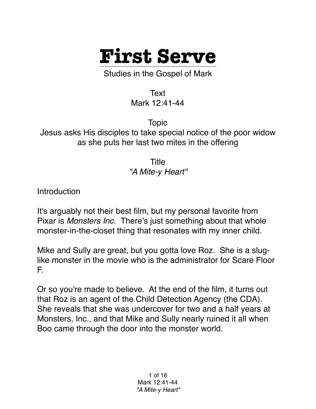

Studies in the Gospel of Mark

Text Mark 12:41-44

Topic Jesus asks His disciples to take special notice of the poor widow as she puts her last two mites in the offering

> **Title** *"A Mite-y Heart"*

**Introduction** 

It's arguably not their best film, but my personal favorite from Pixar is *Monsters Inc.* There's just something about that whole monster-in-the-closet thing that resonates with my inner child.

Mike and Sully are great, but you gotta love Roz. She is a sluglike monster in the movie who is the administrator for Scare Floor F.

Or so you're made to believe. At the end of the film, it turns out that Roz is an agent of the Child Detection Agency (the CDA). She reveals that she was undercover for two and a half years at Monsters, Inc., and that Mike and Sully nearly ruined it all when Boo came through the door into the monster world.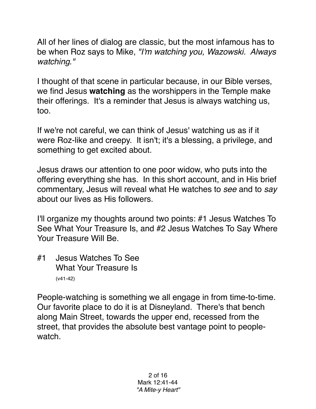All of her lines of dialog are classic, but the most infamous has to be when Roz says to Mike, *"I'm watching you, Wazowski. Always watching."*

I thought of that scene in particular because, in our Bible verses, we find Jesus **watching** as the worshippers in the Temple make their offerings. It's a reminder that Jesus is always watching us, too.

If we're not careful, we can think of Jesus' watching us as if it were Roz-like and creepy. It isn't; it's a blessing, a privilege, and something to get excited about.

Jesus draws our attention to one poor widow, who puts into the offering everything she has. In this short account, and in His brief commentary, Jesus will reveal what He watches to *see* and to *say* about our lives as His followers.

I'll organize my thoughts around two points: #1 Jesus Watches To See What Your Treasure Is, and #2 Jesus Watches To Say Where Your Treasure Will Be.

#1 Jesus Watches To See What Your Treasure Is (v41-42)

People-watching is something we all engage in from time-to-time. Our favorite place to do it is at Disneyland. There's that bench along Main Street, towards the upper end, recessed from the street, that provides the absolute best vantage point to peoplewatch.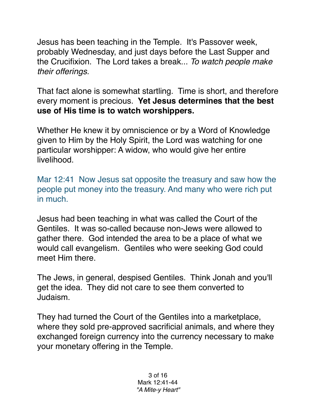Jesus has been teaching in the Temple. It's Passover week, probably Wednesday, and just days before the Last Supper and the Crucifixion. The Lord takes a break... *To watch people make their offerings.*

That fact alone is somewhat startling. Time is short, and therefore every moment is precious. **Yet Jesus determines that the best use of His time is to watch worshippers.**

Whether He knew it by omniscience or by a Word of Knowledge given to Him by the Holy Spirit, the Lord was watching for one particular worshipper: A widow, who would give her entire livelihood.

Mar 12:41 Now Jesus sat opposite the treasury and saw how the people put money into the treasury. And many who were rich put in much.

Jesus had been teaching in what was called the Court of the Gentiles. It was so-called because non-Jews were allowed to gather there. God intended the area to be a place of what we would call evangelism. Gentiles who were seeking God could meet Him there.

The Jews, in general, despised Gentiles. Think Jonah and you'll get the idea. They did not care to see them converted to Judaism.

They had turned the Court of the Gentiles into a marketplace, where they sold pre-approved sacrificial animals, and where they exchanged foreign currency into the currency necessary to make your monetary offering in the Temple.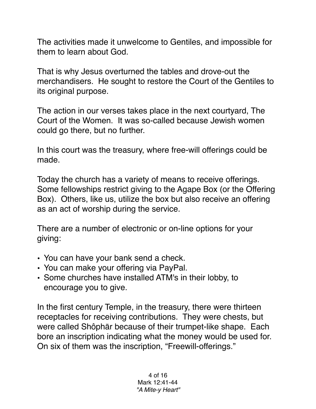The activities made it unwelcome to Gentiles, and impossible for them to learn about God.

That is why Jesus overturned the tables and drove-out the merchandisers. He sought to restore the Court of the Gentiles to its original purpose.

The action in our verses takes place in the next courtyard, The Court of the Women. It was so-called because Jewish women could go there, but no further.

In this court was the treasury, where free-will offerings could be made.

Today the church has a variety of means to receive offerings. Some fellowships restrict giving to the Agape Box (or the Offering Box). Others, like us, utilize the box but also receive an offering as an act of worship during the service.

There are a number of electronic or on-line options for your giving:

- You can have your bank send a check.
- You can make your offering via PayPal.
- Some churches have installed ATM's in their lobby, to encourage you to give.

In the first century Temple, in the treasury, there were thirteen receptacles for receiving contributions. They were chests, but were called Shôphār because of their trumpet-like shape. Each bore an inscription indicating what the money would be used for. On six of them was the inscription, "Freewill-offerings."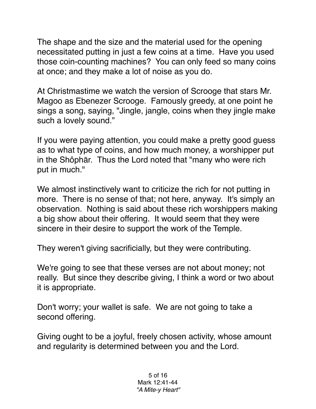The shape and the size and the material used for the opening necessitated putting in just a few coins at a time. Have you used those coin-counting machines? You can only feed so many coins at once; and they make a lot of noise as you do.

At Christmastime we watch the version of Scrooge that stars Mr. Magoo as Ebenezer Scrooge. Famously greedy, at one point he sings a song, saying, "Jingle, jangle, coins when they jingle make such a lovely sound."

If you were paying attention, you could make a pretty good guess as to what type of coins, and how much money, a worshipper put in the Shôphār. Thus the Lord noted that "many who were rich put in much."

We almost instinctively want to criticize the rich for not putting in more. There is no sense of that; not here, anyway. It's simply an observation. Nothing is said about these rich worshippers making a big show about their offering. It would seem that they were sincere in their desire to support the work of the Temple.

They weren't giving sacrificially, but they were contributing.

We're going to see that these verses are not about money; not really. But since they describe giving, I think a word or two about it is appropriate.

Don't worry; your wallet is safe. We are not going to take a second offering.

Giving ought to be a joyful, freely chosen activity, whose amount and regularity is determined between you and the Lord.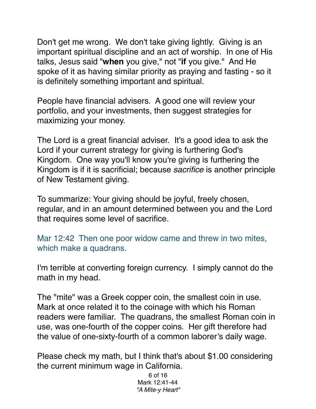Don't get me wrong. We don't take giving lightly. Giving is an important spiritual discipline and an act of worship. In one of His talks, Jesus said "**when** you give," not "**if** you give." And He spoke of it as having similar priority as praying and fasting - so it is definitely something important and spiritual.

People have financial advisers. A good one will review your portfolio, and your investments, then suggest strategies for maximizing your money.

The Lord is a great financial adviser. It's a good idea to ask the Lord if your current strategy for giving is furthering God's Kingdom. One way you'll know you're giving is furthering the Kingdom is if it is sacrificial; because *sacrifice* is another principle of New Testament giving.

To summarize: Your giving should be joyful, freely chosen, regular, and in an amount determined between you and the Lord that requires some level of sacrifice.

Mar 12:42 Then one poor widow came and threw in two mites, which make a quadrans.

I'm terrible at converting foreign currency. I simply cannot do the math in my head.

The "mite" was a Greek copper coin, the smallest coin in use. Mark at once related it to the coinage with which his Roman readers were familiar. The quadrans, the smallest Roman coin in use, was one-fourth of the copper coins. Her gift therefore had the value of one-sixty-fourth of a common laborer's daily wage.

Please check my math, but I think that's about \$1.00 considering the current minimum wage in California.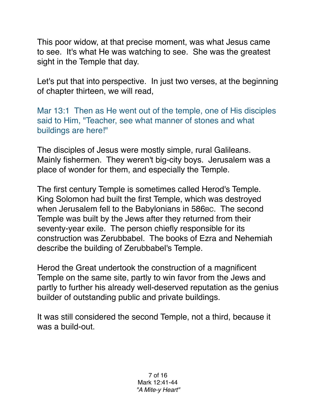This poor widow, at that precise moment, was what Jesus came to see. It's what He was watching to see. She was the greatest sight in the Temple that day.

Let's put that into perspective. In just two verses, at the beginning of chapter thirteen, we will read,

Mar 13:1 Then as He went out of the temple, one of His disciples said to Him, "Teacher, see what manner of stones and what buildings are here!"

The disciples of Jesus were mostly simple, rural Galileans. Mainly fishermen. They weren't big-city boys. Jerusalem was a place of wonder for them, and especially the Temple.

The first century Temple is sometimes called Herod's Temple. King Solomon had built the first Temple, which was destroyed when Jerusalem fell to the Babylonians in 586BC. The second Temple was built by the Jews after they returned from their seventy-year exile. The person chiefly responsible for its construction was Zerubbabel. The books of Ezra and Nehemiah describe the building of Zerubbabel's Temple.

Herod the Great undertook the construction of a magnificent Temple on the same site, partly to win favor from the Jews and partly to further his already well-deserved reputation as the genius builder of outstanding public and private buildings.

It was still considered the second Temple, not a third, because it was a build-out.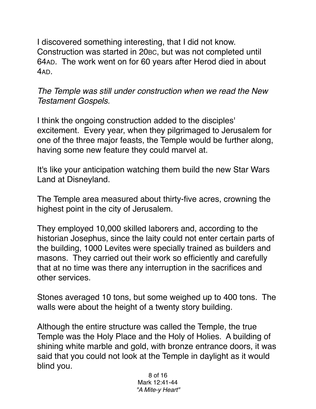I discovered something interesting, that I did not know. Construction was started in 20BC, but was not completed until 64AD. The work went on for 60 years after Herod died in about 4AD.

*The Temple was still under construction when we read the New Testament Gospels.*

I think the ongoing construction added to the disciples' excitement. Every year, when they pilgrimaged to Jerusalem for one of the three major feasts, the Temple would be further along, having some new feature they could marvel at.

It's like your anticipation watching them build the new Star Wars Land at Disneyland.

The Temple area measured about thirty-five acres, crowning the highest point in the city of Jerusalem.

They employed 10,000 skilled laborers and, according to the historian Josephus, since the laity could not enter certain parts of the building, 1000 Levites were specially trained as builders and masons. They carried out their work so efficiently and carefully that at no time was there any interruption in the sacrifices and other services.

Stones averaged 10 tons, but some weighed up to 400 tons. The walls were about the height of a twenty story building.

Although the entire structure was called the Temple, the true Temple was the Holy Place and the Holy of Holies. A building of shining white marble and gold, with bronze entrance doors, it was said that you could not look at the Temple in daylight as it would blind you.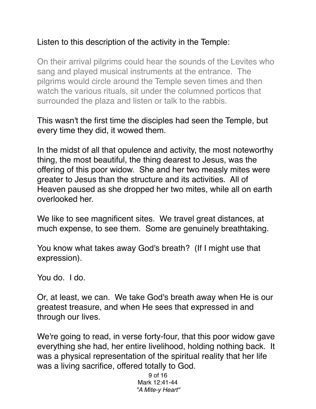## Listen to this description of the activity in the Temple:

On their arrival pilgrims could hear the sounds of the Levites who sang and played musical instruments at the entrance. The pilgrims would circle around the Temple seven times and then watch the various rituals, sit under the columned porticos that surrounded the plaza and listen or talk to the rabbis.

This wasn't the first time the disciples had seen the Temple, but every time they did, it wowed them.

In the midst of all that opulence and activity, the most noteworthy thing, the most beautiful, the thing dearest to Jesus, was the offering of this poor widow. She and her two measly mites were greater to Jesus than the structure and its activities. All of Heaven paused as she dropped her two mites, while all on earth overlooked her.

We like to see magnificent sites. We travel great distances, at much expense, to see them. Some are genuinely breathtaking.

You know what takes away God's breath? (If I might use that expression).

You do. I do.

Or, at least, we can. We take God's breath away when He is our greatest treasure, and when He sees that expressed in and through our lives.

We're going to read, in verse forty-four, that this poor widow gave everything she had, her entire livelihood, holding nothing back. It was a physical representation of the spiritual reality that her life was a living sacrifice, offered totally to God.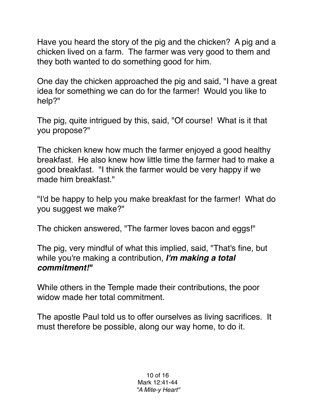Have you heard the story of the pig and the chicken? A pig and a chicken lived on a farm. The farmer was very good to them and they both wanted to do something good for him.

One day the chicken approached the pig and said, "I have a great idea for something we can do for the farmer! Would you like to help?"

The pig, quite intrigued by this, said, "Of course! What is it that you propose?"

The chicken knew how much the farmer enjoyed a good healthy breakfast. He also knew how little time the farmer had to make a good breakfast. "I think the farmer would be very happy if we made him breakfast."

"I'd be happy to help you make breakfast for the farmer! What do you suggest we make?"

The chicken answered, "The farmer loves bacon and eggs!"

The pig, very mindful of what this implied, said, "That's fine, but while you're making a contribution, *I'm making a total commitment!"*

While others in the Temple made their contributions, the poor widow made her total commitment.

The apostle Paul told us to offer ourselves as living sacrifices. It must therefore be possible, along our way home, to do it.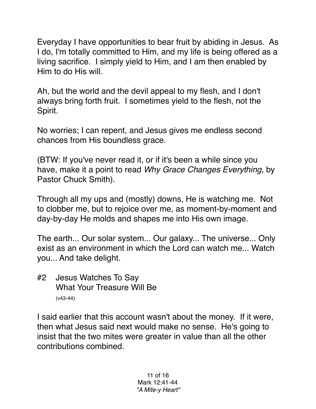Everyday I have opportunities to bear fruit by abiding in Jesus. As I do, I'm totally committed to Him, and my life is being offered as a living sacrifice. I simply yield to Him, and I am then enabled by Him to do His will.

Ah, but the world and the devil appeal to my flesh, and I don't always bring forth fruit. I sometimes yield to the flesh, not the Spirit.

No worries; I can repent, and Jesus gives me endless second chances from His boundless grace.

(BTW: If you've never read it, or if it's been a while since you have, make it a point to read *Why Grace Changes Everything,* by Pastor Chuck Smith).

Through all my ups and (mostly) downs, He is watching me. Not to clobber me, but to rejoice over me, as moment-by-moment and day-by-day He molds and shapes me into His own image.

The earth... Our solar system... Our galaxy... The universe... Only exist as an environment in which the Lord can watch me... Watch you... And take delight.

#2 Jesus Watches To Say What Your Treasure Will Be (v43-44)

I said earlier that this account wasn't about the money. If it were, then what Jesus said next would make no sense. He's going to insist that the two mites were greater in value than all the other contributions combined.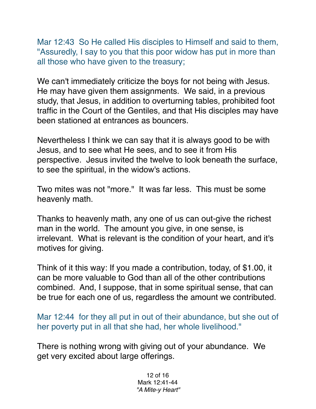Mar 12:43 So He called His disciples to Himself and said to them, "Assuredly, I say to you that this poor widow has put in more than all those who have given to the treasury;

We can't immediately criticize the boys for not being with Jesus. He may have given them assignments. We said, in a previous study, that Jesus, in addition to overturning tables, prohibited foot traffic in the Court of the Gentiles, and that His disciples may have been stationed at entrances as bouncers.

Nevertheless I think we can say that it is always good to be with Jesus, and to see what He sees, and to see it from His perspective. Jesus invited the twelve to look beneath the surface, to see the spiritual, in the widow's actions.

Two mites was not "more." It was far less. This must be some heavenly math.

Thanks to heavenly math, any one of us can out-give the richest man in the world. The amount you give, in one sense, is irrelevant. What is relevant is the condition of your heart, and it's motives for giving.

Think of it this way: If you made a contribution, today, of \$1.00, it can be more valuable to God than all of the other contributions combined. And, I suppose, that in some spiritual sense, that can be true for each one of us, regardless the amount we contributed.

Mar 12:44 for they all put in out of their abundance, but she out of her poverty put in all that she had, her whole livelihood."

There is nothing wrong with giving out of your abundance. We get very excited about large offerings.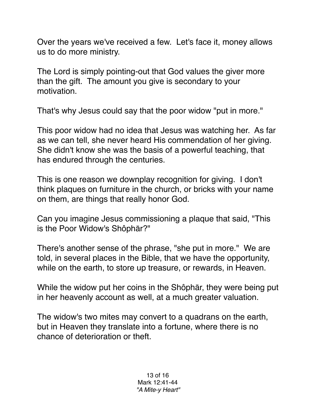Over the years we've received a few. Let's face it, money allows us to do more ministry.

The Lord is simply pointing-out that God values the giver more than the gift. The amount you give is secondary to your motivation.

That's why Jesus could say that the poor widow "put in more."

This poor widow had no idea that Jesus was watching her. As far as we can tell, she never heard His commendation of her giving. She didn't know she was the basis of a powerful teaching, that has endured through the centuries.

This is one reason we downplay recognition for giving. I don't think plaques on furniture in the church, or bricks with your name on them, are things that really honor God.

Can you imagine Jesus commissioning a plaque that said, "This is the Poor Widow's Shôphār?"

There's another sense of the phrase, "she put in more." We are told, in several places in the Bible, that we have the opportunity, while on the earth, to store up treasure, or rewards, in Heaven.

While the widow put her coins in the Shôphār, they were being put in her heavenly account as well, at a much greater valuation.

The widow's two mites may convert to a quadrans on the earth, but in Heaven they translate into a fortune, where there is no chance of deterioration or theft.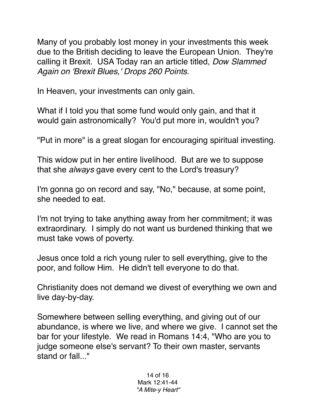Many of you probably lost money in your investments this week due to the British deciding to leave the European Union. They're calling it Brexit. USA Today ran an article titled, *Dow Slammed Again on 'Brexit Blues,' Drops 260 Points.*

In Heaven, your investments can only gain.

What if I told you that some fund would only gain, and that it would gain astronomically? You'd put more in, wouldn't you?

"Put in more" is a great slogan for encouraging spiritual investing.

This widow put in her entire livelihood. But are we to suppose that she *always* gave every cent to the Lord's treasury?

I'm gonna go on record and say, "No," because, at some point, she needed to eat.

I'm not trying to take anything away from her commitment; it was extraordinary. I simply do not want us burdened thinking that we must take vows of poverty.

Jesus once told a rich young ruler to sell everything, give to the poor, and follow Him. He didn't tell everyone to do that.

Christianity does not demand we divest of everything we own and live day-by-day.

Somewhere between selling everything, and giving out of our abundance, is where we live, and where we give. I cannot set the bar for your lifestyle. We read in Romans 14:4, "Who are you to judge someone else's servant? To their own master, servants stand or fall..."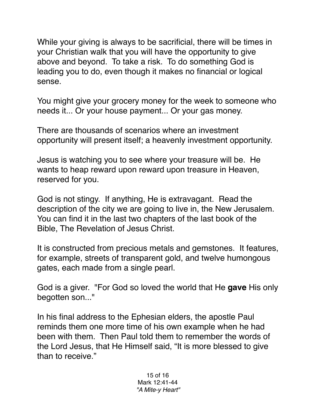While your giving is always to be sacrificial, there will be times in your Christian walk that you will have the opportunity to give above and beyond. To take a risk. To do something God is leading you to do, even though it makes no financial or logical sense.

You might give your grocery money for the week to someone who needs it... Or your house payment... Or your gas money.

There are thousands of scenarios where an investment opportunity will present itself; a heavenly investment opportunity.

Jesus is watching you to see where your treasure will be. He wants to heap reward upon reward upon treasure in Heaven, reserved for you.

God is not stingy. If anything, He is extravagant. Read the description of the city we are going to live in, the New Jerusalem. You can find it in the last two chapters of the last book of the Bible, The Revelation of Jesus Christ.

It is constructed from precious metals and gemstones. It features, for example, streets of transparent gold, and twelve humongous gates, each made from a single pearl.

God is a giver. "For God so loved the world that He **gave** His only begotten son..."

In his final address to the Ephesian elders, the apostle Paul reminds them one more time of his own example when he had been with them. Then Paul told them to remember the words of the Lord Jesus, that He Himself said, "It is more blessed to give than to receive."